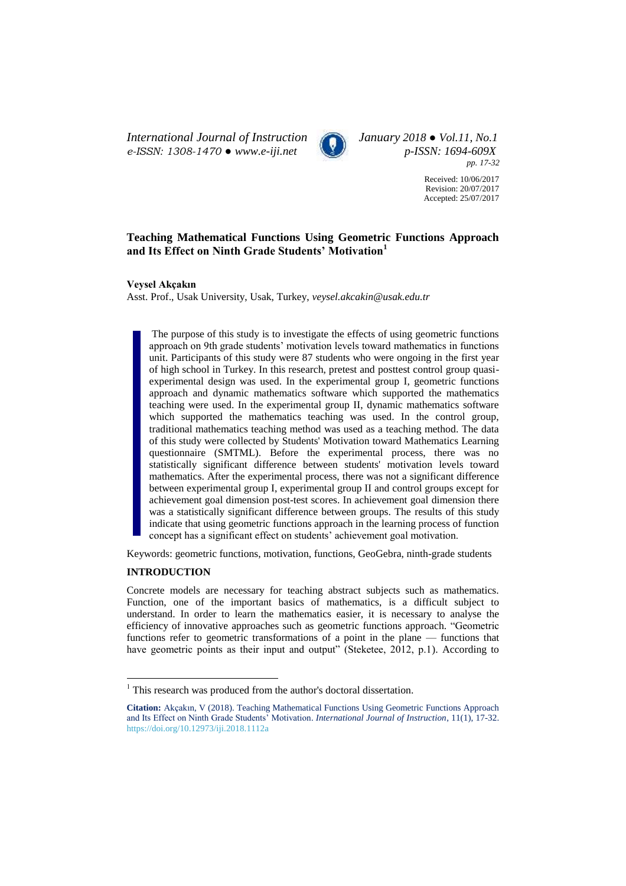*International Journal of Instruction January 2018 ● Vol.11, No.1 e-ISSN: 1308-1470 ● [www.e-iji.net](http://www.e-iji.net/) p-ISSN: 1694-609X*



*pp. 17-32*

Received: 10/06/2017 Revision: 20/07/2017 Accepted: 25/07/2017

# **Teaching Mathematical Functions Using Geometric Functions Approach and Its Effect on Ninth Grade Students' Motivation<sup>1</sup>**

**Veysel Akçakın**

Asst. Prof., Usak University, Usak, Turkey, *veysel.akcakin@usak.edu.tr*

The purpose of this study is to investigate the effects of using geometric functions approach on 9th grade students' motivation levels toward mathematics in functions unit. Participants of this study were 87 students who were ongoing in the first year of high school in Turkey. In this research, pretest and posttest control group quasiexperimental design was used. In the experimental group I, geometric functions approach and dynamic mathematics software which supported the mathematics teaching were used. In the experimental group II, dynamic mathematics software which supported the mathematics teaching was used. In the control group, traditional mathematics teaching method was used as a teaching method. The data of this study were collected by Students' Motivation toward Mathematics Learning questionnaire (SMTML). Before the experimental process, there was no statistically significant difference between students' motivation levels toward mathematics. After the experimental process, there was not a significant difference between experimental group I, experimental group II and control groups except for achievement goal dimension post-test scores. In achievement goal dimension there was a statistically significant difference between groups. The results of this study indicate that using geometric functions approach in the learning process of function concept has a significant effect on students' achievement goal motivation.

Keywords: geometric functions, motivation, functions, GeoGebra, ninth-grade students

### **INTRODUCTION**

 $\overline{a}$ 

Concrete models are necessary for teaching abstract subjects such as mathematics. Function, one of the important basics of mathematics, is a difficult subject to understand. In order to learn the mathematics easier, it is necessary to analyse the efficiency of innovative approaches such as geometric functions approach. "Geometric functions refer to geometric transformations of a point in the plane — functions that have geometric points as their input and output" (Steketee, 2012, p.1). According to

 $1$ <sup>1</sup> This research was produced from the author's doctoral dissertation.

**Citation:** Akçakın, V (2018). Teaching Mathematical Functions Using Geometric Functions Approach and Its Effect on Ninth Grade Students' Motivation. *International Journal of Instruction*, 11(1), 17-32. <https://doi.org/10.12973/iji.2018.1112a>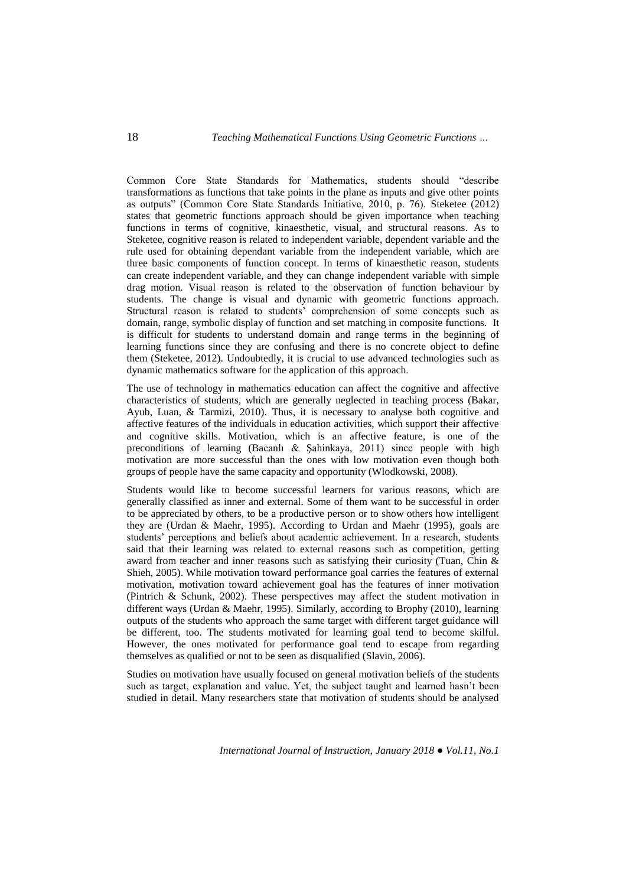Common Core State Standards for Mathematics, students should "describe transformations as functions that take points in the plane as inputs and give other points as outputs" (Common Core State Standards Initiative, 2010, p. 76). Steketee (2012) states that geometric functions approach should be given importance when teaching functions in terms of cognitive, kinaesthetic, visual, and structural reasons. As to Steketee, cognitive reason is related to independent variable, dependent variable and the rule used for obtaining dependant variable from the independent variable, which are three basic components of function concept. In terms of kinaesthetic reason, students can create independent variable, and they can change independent variable with simple drag motion. Visual reason is related to the observation of function behaviour by students. The change is visual and dynamic with geometric functions approach. Structural reason is related to students' comprehension of some concepts such as domain, range, symbolic display of function and set matching in composite functions. It is difficult for students to understand domain and range terms in the beginning of learning functions since they are confusing and there is no concrete object to define them (Steketee, 2012). Undoubtedly, it is crucial to use advanced technologies such as dynamic mathematics software for the application of this approach.

The use of technology in mathematics education can affect the cognitive and affective characteristics of students, which are generally neglected in teaching process (Bakar, Ayub, Luan, & Tarmizi, 2010). Thus, it is necessary to analyse both cognitive and affective features of the individuals in education activities, which support their affective and cognitive skills. Motivation, which is an affective feature, is one of the preconditions of learning (Bacanlı & Şahinkaya, 2011) since people with high motivation are more successful than the ones with low motivation even though both groups of people have the same capacity and opportunity (Wlodkowski, 2008).

Students would like to become successful learners for various reasons, which are generally classified as inner and external. Some of them want to be successful in order to be appreciated by others, to be a productive person or to show others how intelligent they are (Urdan & Maehr, 1995). According to Urdan and Maehr (1995), goals are students' perceptions and beliefs about academic achievement. In a research, students said that their learning was related to external reasons such as competition, getting award from teacher and inner reasons such as satisfying their curiosity (Tuan, Chin & Shieh, 2005). While motivation toward performance goal carries the features of external motivation, motivation toward achievement goal has the features of inner motivation (Pintrich & Schunk, 2002). These perspectives may affect the student motivation in different ways (Urdan & Maehr, 1995). Similarly, according to Brophy (2010), learning outputs of the students who approach the same target with different target guidance will be different, too. The students motivated for learning goal tend to become skilful. However, the ones motivated for performance goal tend to escape from regarding themselves as qualified or not to be seen as disqualified (Slavin, 2006).

Studies on motivation have usually focused on general motivation beliefs of the students such as target, explanation and value. Yet, the subject taught and learned hasn't been studied in detail. Many researchers state that motivation of students should be analysed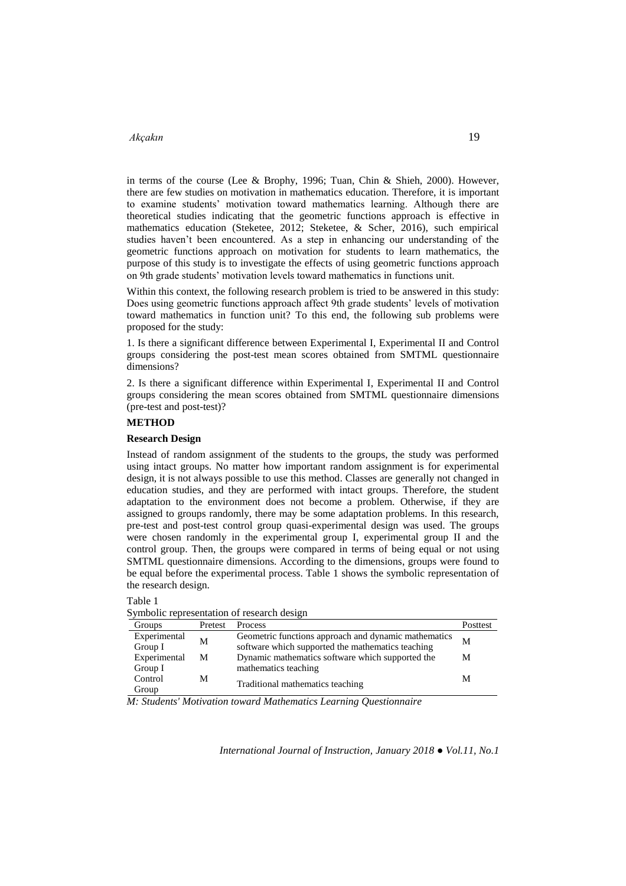in terms of the course (Lee & Brophy, 1996; Tuan, Chin & Shieh, 2000). However, there are few studies on motivation in mathematics education. Therefore, it is important to examine students' motivation toward mathematics learning. Although there are theoretical studies indicating that the geometric functions approach is effective in mathematics education (Steketee, 2012; Steketee, & Scher, 2016), such empirical studies haven't been encountered. As a step in enhancing our understanding of the geometric functions approach on motivation for students to learn mathematics, the purpose of this study is to investigate the effects of using geometric functions approach on 9th grade students' motivation levels toward mathematics in functions unit.

Within this context, the following research problem is tried to be answered in this study: Does using geometric functions approach affect 9th grade students' levels of motivation toward mathematics in function unit? To this end, the following sub problems were proposed for the study:

1. Is there a significant difference between Experimental I, Experimental II and Control groups considering the post-test mean scores obtained from SMTML questionnaire dimensions?

2. Is there a significant difference within Experimental I, Experimental II and Control groups considering the mean scores obtained from SMTML questionnaire dimensions (pre-test and post-test)?

### **METHOD**

### **Research Design**

Instead of random assignment of the students to the groups, the study was performed using intact groups. No matter how important random assignment is for experimental design, it is not always possible to use this method. Classes are generally not changed in education studies, and they are performed with intact groups. Therefore, the student adaptation to the environment does not become a problem. Otherwise, if they are assigned to groups randomly, there may be some adaptation problems. In this research, pre-test and post-test control group quasi-experimental design was used. The groups were chosen randomly in the experimental group I, experimental group II and the control group. Then, the groups were compared in terms of being equal or not using SMTML questionnaire dimensions. According to the dimensions, groups were found to be equal before the experimental process. Table 1 shows the symbolic representation of the research design.

Table 1 Symbolic representation of research design

| Groups       | Pretest | Process                                              | Posttest |
|--------------|---------|------------------------------------------------------|----------|
| Experimental | M       | Geometric functions approach and dynamic mathematics | М        |
| Group I      |         | software which supported the mathematics teaching    |          |
| Experimental | M       | Dynamic mathematics software which supported the     | М        |
| Group I      |         | mathematics teaching                                 |          |
| Control      | М       |                                                      | М        |
| Group        |         | Traditional mathematics teaching                     |          |

*M: Students' Motivation toward Mathematics Learning Questionnaire*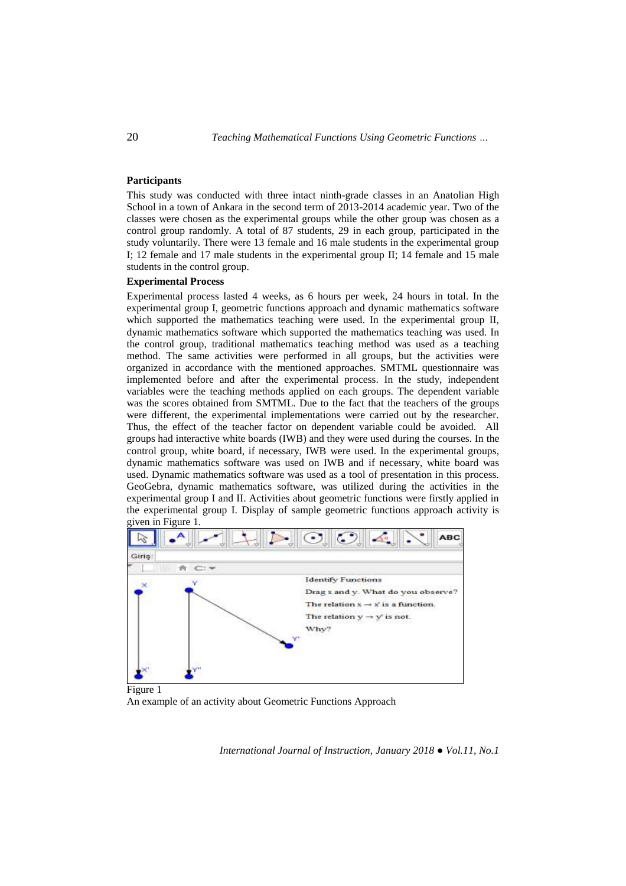## **Participants**

This study was conducted with three intact ninth-grade classes in an Anatolian High School in a town of Ankara in the second term of 2013-2014 academic year. Two of the classes were chosen as the experimental groups while the other group was chosen as a control group randomly. A total of 87 students, 29 in each group, participated in the study voluntarily. There were 13 female and 16 male students in the experimental group I; 12 female and 17 male students in the experimental group II; 14 female and 15 male students in the control group.

## **Experimental Process**

Experimental process lasted 4 weeks, as 6 hours per week, 24 hours in total. In the experimental group I, geometric functions approach and dynamic mathematics software which supported the mathematics teaching were used. In the experimental group II, dynamic mathematics software which supported the mathematics teaching was used. In the control group, traditional mathematics teaching method was used as a teaching method. The same activities were performed in all groups, but the activities were organized in accordance with the mentioned approaches. SMTML questionnaire was implemented before and after the experimental process. In the study, independent variables were the teaching methods applied on each groups. The dependent variable was the scores obtained from SMTML. Due to the fact that the teachers of the groups were different, the experimental implementations were carried out by the researcher. Thus, the effect of the teacher factor on dependent variable could be avoided. All groups had interactive white boards (IWB) and they were used during the courses. In the control group, white board, if necessary, IWB were used. In the experimental groups, dynamic mathematics software was used on IWB and if necessary, white board was used. Dynamic mathematics software was used as a tool of presentation in this process. GeoGebra, dynamic mathematics software, was utilized during the activities in the experimental group I and II. Activities about geometric functions were firstly applied in the experimental group I. Display of sample geometric functions approach activity is given in Figure 1.



An example of an activity about Geometric Functions Approach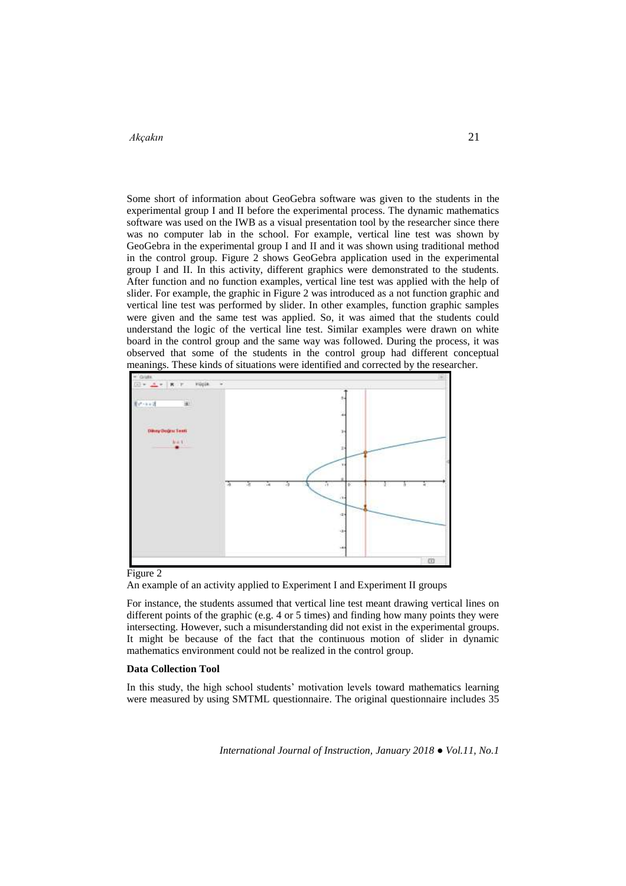Some short of information about GeoGebra software was given to the students in the experimental group I and II before the experimental process. The dynamic mathematics software was used on the IWB as a visual presentation tool by the researcher since there was no computer lab in the school. For example, vertical line test was shown by GeoGebra in the experimental group I and II and it was shown using traditional method in the control group. Figure 2 shows GeoGebra application used in the experimental group I and II. In this activity, different graphics were demonstrated to the students. After function and no function examples, vertical line test was applied with the help of slider. For example, the graphic in Figure 2 was introduced as a not function graphic and vertical line test was performed by slider. In other examples, function graphic samples were given and the same test was applied. So, it was aimed that the students could understand the logic of the vertical line test. Similar examples were drawn on white board in the control group and the same way was followed. During the process, it was observed that some of the students in the control group had different conceptual meanings. These kinds of situations were identified and corrected by the researcher.





For instance, the students assumed that vertical line test meant drawing vertical lines on different points of the graphic (e.g. 4 or 5 times) and finding how many points they were intersecting. However, such a misunderstanding did not exist in the experimental groups. It might be because of the fact that the continuous motion of slider in dynamic mathematics environment could not be realized in the control group.

### **Data Collection Tool**

In this study, the high school students' motivation levels toward mathematics learning were measured by using SMTML questionnaire. The original questionnaire includes 35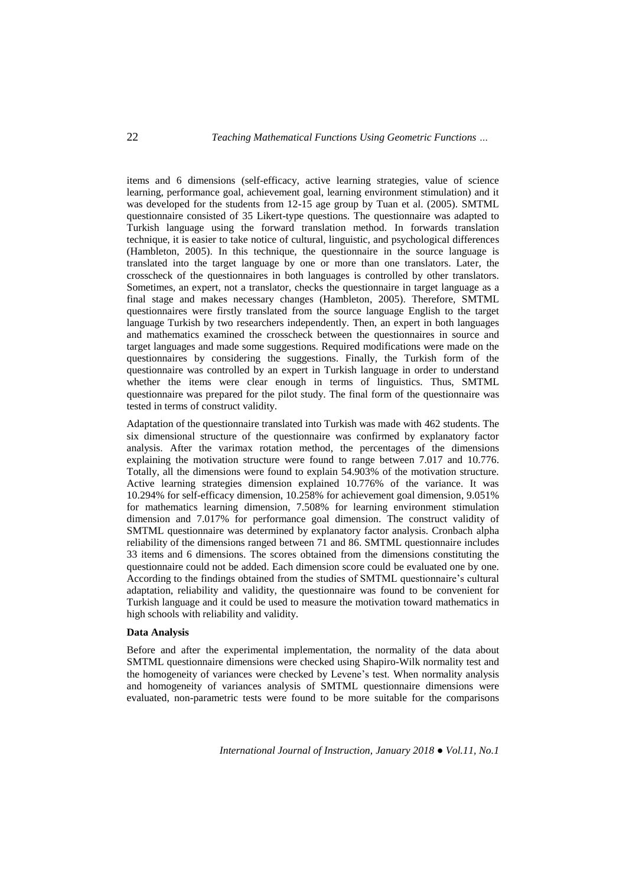items and 6 dimensions (self-efficacy, active learning strategies, value of science learning, performance goal, achievement goal, learning environment stimulation) and it was developed for the students from 12-15 age group by Tuan et al. (2005). SMTML questionnaire consisted of 35 Likert-type questions. The questionnaire was adapted to Turkish language using the forward translation method. In forwards translation technique, it is easier to take notice of cultural, linguistic, and psychological differences (Hambleton, 2005). In this technique, the questionnaire in the source language is translated into the target language by one or more than one translators. Later, the crosscheck of the questionnaires in both languages is controlled by other translators. Sometimes, an expert, not a translator, checks the questionnaire in target language as a final stage and makes necessary changes (Hambleton, 2005). Therefore, SMTML questionnaires were firstly translated from the source language English to the target language Turkish by two researchers independently. Then, an expert in both languages and mathematics examined the crosscheck between the questionnaires in source and target languages and made some suggestions. Required modifications were made on the questionnaires by considering the suggestions. Finally, the Turkish form of the questionnaire was controlled by an expert in Turkish language in order to understand whether the items were clear enough in terms of linguistics. Thus, SMTML questionnaire was prepared for the pilot study. The final form of the questionnaire was tested in terms of construct validity.

Adaptation of the questionnaire translated into Turkish was made with 462 students. The six dimensional structure of the questionnaire was confirmed by explanatory factor analysis. After the varimax rotation method, the percentages of the dimensions explaining the motivation structure were found to range between 7.017 and 10.776. Totally, all the dimensions were found to explain 54.903% of the motivation structure. Active learning strategies dimension explained 10.776% of the variance. It was 10.294% for self-efficacy dimension, 10.258% for achievement goal dimension, 9.051% for mathematics learning dimension, 7.508% for learning environment stimulation dimension and 7.017% for performance goal dimension. The construct validity of SMTML questionnaire was determined by explanatory factor analysis. Cronbach alpha reliability of the dimensions ranged between 71 and 86. SMTML questionnaire includes 33 items and 6 dimensions. The scores obtained from the dimensions constituting the questionnaire could not be added. Each dimension score could be evaluated one by one. According to the findings obtained from the studies of SMTML questionnaire's cultural adaptation, reliability and validity, the questionnaire was found to be convenient for Turkish language and it could be used to measure the motivation toward mathematics in high schools with reliability and validity.

### **Data Analysis**

Before and after the experimental implementation, the normality of the data about SMTML questionnaire dimensions were checked using Shapiro-Wilk normality test and the homogeneity of variances were checked by Levene's test. When normality analysis and homogeneity of variances analysis of SMTML questionnaire dimensions were evaluated, non-parametric tests were found to be more suitable for the comparisons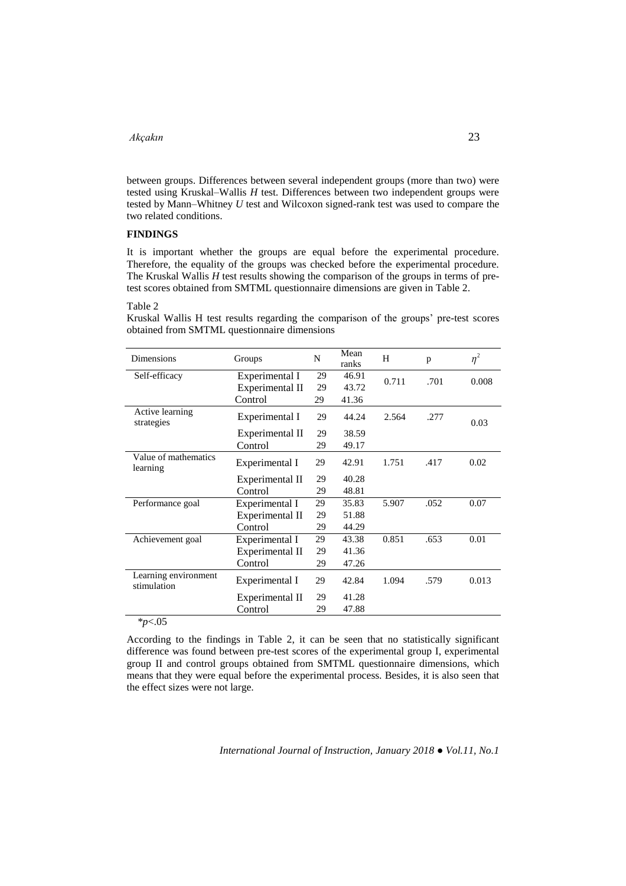between groups. Differences between several independent groups (more than two) were tested using Kruskal–Wallis *H* test. Differences between two independent groups were tested by Mann–Whitney *U* test and Wilcoxon signed-rank test was used to compare the two related conditions.

### **FINDINGS**

It is important whether the groups are equal before the experimental procedure. Therefore, the equality of the groups was checked before the experimental procedure. The Kruskal Wallis *H* test results showing the comparison of the groups in terms of pretest scores obtained from SMTML questionnaire dimensions are given in Table 2.

#### Table 2

Kruskal Wallis H test results regarding the comparison of the groups' pre-test scores obtained from SMTML questionnaire dimensions

| Dimensions                          | Groups          |    | Mean<br>ranks | H     | p    | $\eta^2$ |
|-------------------------------------|-----------------|----|---------------|-------|------|----------|
| Self-efficacy                       | Experimental I  | 29 | 46.91         | 0.711 |      |          |
|                                     | Experimental II | 29 | 43.72         |       | .701 | 0.008    |
|                                     | Control         | 29 | 41.36         |       |      |          |
| Active learning<br>strategies       | Experimental I  | 29 | 44.24         | 2.564 | .277 | 0.03     |
|                                     | Experimental II | 29 | 38.59         |       |      |          |
|                                     | Control         | 29 | 49.17         |       |      |          |
| Value of mathematics<br>learning    | Experimental I  | 29 | 42.91         | 1.751 | .417 | 0.02     |
|                                     | Experimental II | 29 | 40.28         |       |      |          |
|                                     | Control         | 29 | 48.81         |       |      |          |
| Performance goal                    | Experimental I  | 29 | 35.83         | 5.907 | .052 | 0.07     |
|                                     | Experimental II | 29 | 51.88         |       |      |          |
|                                     | Control         | 29 | 44.29         |       |      |          |
| Achievement goal                    | Experimental I  | 29 | 43.38         | 0.851 | .653 | 0.01     |
|                                     | Experimental II | 29 | 41.36         |       |      |          |
|                                     | Control         | 29 | 47.26         |       |      |          |
| Learning environment<br>stimulation | Experimental I  | 29 | 42.84         | 1.094 | .579 | 0.013    |
|                                     | Experimental II | 29 | 41.28         |       |      |          |
|                                     | Control         | 29 | 47.88         |       |      |          |
| $*_{p<.05}$                         |                 |    |               |       |      |          |

According to the findings in Table 2, it can be seen that no statistically significant difference was found between pre-test scores of the experimental group I, experimental group II and control groups obtained from SMTML questionnaire dimensions, which means that they were equal before the experimental process. Besides, it is also seen that the effect sizes were not large.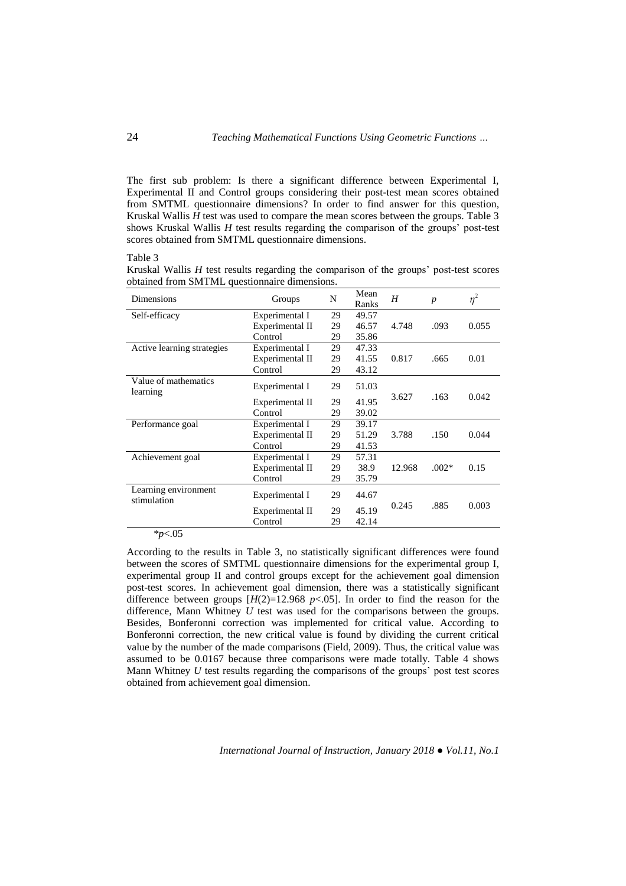The first sub problem: Is there a significant difference between Experimental I, Experimental II and Control groups considering their post-test mean scores obtained from SMTML questionnaire dimensions? In order to find answer for this question, Kruskal Wallis *H* test was used to compare the mean scores between the groups. Table 3 shows Kruskal Wallis *H* test results regarding the comparison of the groups' post-test scores obtained from SMTML questionnaire dimensions.

#### Table 3

Kruskal Wallis *H* test results regarding the comparison of the groups' post-test scores obtained from SMTML questionnaire dimensions.

| Dimensions                          | Groups          | N  | Mean<br>Ranks | H      | $\boldsymbol{p}$ | $\eta^2$ |
|-------------------------------------|-----------------|----|---------------|--------|------------------|----------|
| Self-efficacy                       | Experimental I  | 29 | 49.57         |        |                  |          |
|                                     | Experimental II | 29 | 46.57         | 4.748  | .093             | 0.055    |
|                                     | Control         | 29 | 35.86         |        |                  |          |
| Active learning strategies          | Experimental I  | 29 | 47.33         |        |                  |          |
|                                     | Experimental II | 29 | 41.55         | 0.817  | .665             | 0.01     |
|                                     | Control         | 29 | 43.12         |        |                  |          |
| Value of mathematics<br>learning    | Experimental I  | 29 | 51.03         |        | .163             |          |
|                                     | Experimental II | 29 | 41.95         | 3.627  |                  | 0.042    |
|                                     | Control         | 29 | 39.02         |        |                  |          |
| Performance goal                    | Experimental I  | 29 | 39.17         |        |                  |          |
|                                     | Experimental II | 29 | 51.29         | 3.788  | .150             | 0.044    |
|                                     | Control         | 29 | 41.53         |        |                  |          |
| Achievement goal                    | Experimental I  | 29 | 57.31         |        |                  |          |
|                                     | Experimental II | 29 | 38.9          | 12.968 | $.002*$          | 0.15     |
|                                     | Control         | 29 | 35.79         |        |                  |          |
| Learning environment<br>stimulation | Experimental I  | 29 | 44.67         |        |                  |          |
|                                     | Experimental II | 29 | 45.19         | 0.245  | .885             | 0.003    |
|                                     | Control         | 29 | 42.14         |        |                  |          |
| $\sim$ $\sim$<br>$\mathbf{a}$       |                 |    |               |        |                  |          |

 *\*p*<.05

According to the results in Table 3, no statistically significant differences were found between the scores of SMTML questionnaire dimensions for the experimental group I, experimental group II and control groups except for the achievement goal dimension post-test scores. In achievement goal dimension, there was a statistically significant difference between groups  $[H(2)=12.968 \text{ p} < .05]$ . In order to find the reason for the difference, Mann Whitney *U* test was used for the comparisons between the groups. Besides, Bonferonni correction was implemented for critical value. According to Bonferonni correction, the new critical value is found by dividing the current critical value by the number of the made comparisons (Field, 2009). Thus, the critical value was assumed to be 0.0167 because three comparisons were made totally. Table 4 shows Mann Whitney *U* test results regarding the comparisons of the groups' post test scores obtained from achievement goal dimension.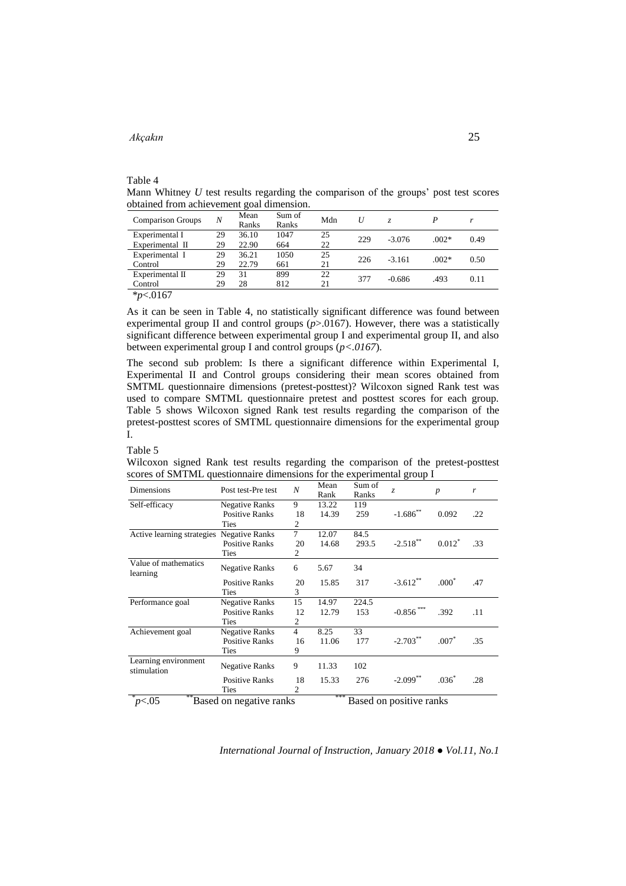## Table 4

Mann Whitney *U* test results regarding the comparison of the groups' post test scores obtained from achievement goal dimension.

| <b>Comparison Groups</b> | N  | Mean<br>Ranks | Sum of<br>Ranks | Mdn | U   | Z.       | P       | r    |
|--------------------------|----|---------------|-----------------|-----|-----|----------|---------|------|
| Experimental I           | 29 | 36.10         | 1047            | 25  | 229 | $-3.076$ | $.002*$ | 0.49 |
| Experimental II          | 29 | 22.90         | 664             | 22  |     |          |         |      |
| Experimental I           | 29 | 36.21         | 1050            | 25  | 226 | $-3.161$ | $.002*$ | 0.50 |
| Control                  | 29 | 22.79         | 661             | 21  |     |          |         |      |
| Experimental II          | 29 | 31            | 899             | 22  | 377 | $-0.686$ | .493    | 0.11 |
| Control                  | 29 | 28            | 812             | 21  |     |          |         |      |
| $*_{p<.0167}$            |    |               |                 |     |     |          |         |      |

As it can be seen in Table 4, no statistically significant difference was found between experimental group II and control groups (*p*>.0167). However, there was a statistically significant difference between experimental group I and experimental group II, and also between experimental group I and control groups (*p<.0167*).

The second sub problem: Is there a significant difference within Experimental I, Experimental II and Control groups considering their mean scores obtained from SMTML questionnaire dimensions (pretest-posttest)? Wilcoxon signed Rank test was used to compare SMTML questionnaire pretest and posttest scores for each group. Table 5 shows Wilcoxon signed Rank test results regarding the comparison of the pretest-posttest scores of SMTML questionnaire dimensions for the experimental group I.

### Table 5

Wilcoxon signed Rank test results regarding the comparison of the pretest-posttest scores of SMTML questionnaire dimensions for the experimental group I

| Dimensions                          | Post test-Pre test      | N              | Mean<br>Rank | Sum of<br>Ranks         | Z,              | $\boldsymbol{p}$ | r   |
|-------------------------------------|-------------------------|----------------|--------------|-------------------------|-----------------|------------------|-----|
| Self-efficacy                       | <b>Negative Ranks</b>   | 9              | 13.22        | 119                     |                 |                  |     |
|                                     | <b>Positive Ranks</b>   | 18             | 14.39        | 259                     | $-1.686$ **     | 0.092            | .22 |
|                                     | <b>Ties</b>             | 2              |              |                         |                 |                  |     |
| Active learning strategies          | <b>Negative Ranks</b>   | $\tau$         | 12.07        | 84.5                    |                 |                  |     |
|                                     | <b>Positive Ranks</b>   | 20             | 14.68        | 293.5                   | $-2.518**$      | $0.012^*$        | .33 |
|                                     | <b>Ties</b>             | 2              |              |                         |                 |                  |     |
| Value of mathematics<br>learning    | <b>Negative Ranks</b>   | 6              | 5.67         | 34                      |                 |                  |     |
|                                     | Positive Ranks          | 20             | 15.85        | 317                     | $-3.612**$      | $.000*$          | .47 |
|                                     | <b>Ties</b>             | 3              |              |                         |                 |                  |     |
| Performance goal                    | <b>Negative Ranks</b>   | 15             | 14.97        | 224.5                   |                 |                  |     |
|                                     | <b>Positive Ranks</b>   | 12             | 12.79        | 153                     | ***<br>$-0.856$ | .392             | .11 |
|                                     | <b>Ties</b>             | 2              |              |                         |                 |                  |     |
| Achievement goal                    | <b>Negative Ranks</b>   | $\overline{4}$ | 8.25         | 33                      |                 |                  |     |
|                                     | <b>Positive Ranks</b>   | 16             | 11.06        | 177                     | $-2.703***$     | $.007*$          | .35 |
|                                     | <b>Ties</b>             | 9              |              |                         |                 |                  |     |
| Learning environment<br>stimulation | <b>Negative Ranks</b>   | 9              | 11.33        | 102                     |                 |                  |     |
|                                     | <b>Positive Ranks</b>   | 18             | 15.33        | 276                     | $-2.099$ **     | $.036^{\circ}$   | .28 |
|                                     | <b>Ties</b>             | 2              |              |                         |                 |                  |     |
| p<.05                               | Based on negative ranks | ***            |              | Based on positive ranks |                 |                  |     |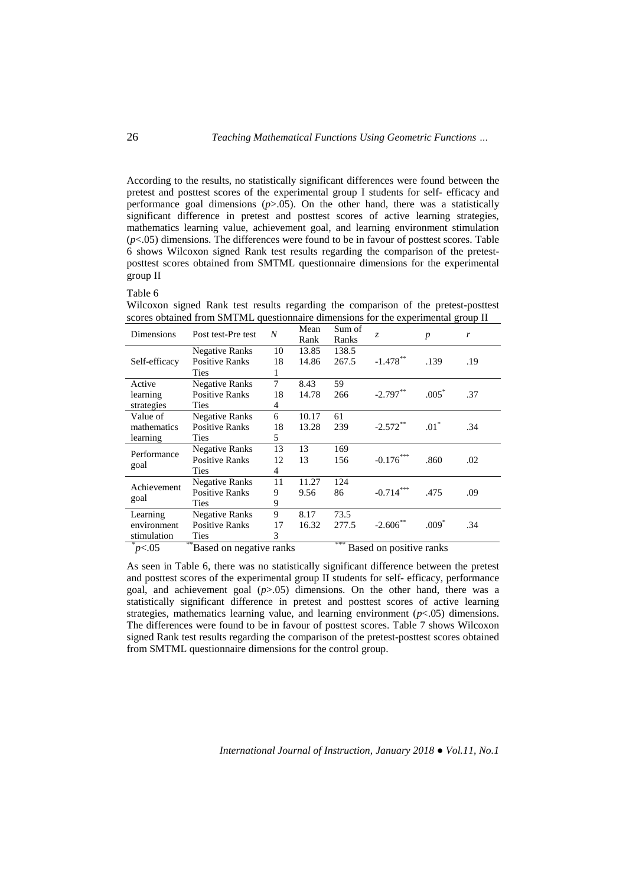According to the results, no statistically significant differences were found between the pretest and posttest scores of the experimental group I students for self- efficacy and performance goal dimensions  $(p>0.05)$ . On the other hand, there was a statistically significant difference in pretest and posttest scores of active learning strategies, mathematics learning value, achievement goal, and learning environment stimulation  $(p<.05)$  dimensions. The differences were found to be in favour of posttest scores. Table 6 shows Wilcoxon signed Rank test results regarding the comparison of the pretestposttest scores obtained from SMTML questionnaire dimensions for the experimental group II

### Table 6

Wilcoxon signed Rank test results regarding the comparison of the pretest-posttest scores obtained from SMTML questionnaire dimensions for the experimental group II

| Dimensions    |                                                           |    | Mean  | Sum of |             |                  |     |
|---------------|-----------------------------------------------------------|----|-------|--------|-------------|------------------|-----|
|               | Post test-Pre test                                        | N  | Rank  | Ranks  | Z           | $\boldsymbol{p}$ | r   |
|               | <b>Negative Ranks</b>                                     | 10 | 13.85 | 138.5  |             |                  |     |
| Self-efficacy | <b>Positive Ranks</b>                                     | 18 | 14.86 | 267.5  | $-1.478***$ | .139             | .19 |
|               | <b>Ties</b>                                               | 1  |       |        |             |                  |     |
| Active        | <b>Negative Ranks</b>                                     | 7  | 8.43  | 59     |             |                  |     |
| learning      | <b>Positive Ranks</b>                                     | 18 | 14.78 | 266    | $-2.797**$  | $.005*$          | .37 |
| strategies    | <b>Ties</b>                                               | 4  |       |        |             |                  |     |
| Value of      | <b>Negative Ranks</b>                                     | 6  | 10.17 | 61     |             |                  |     |
| mathematics   | <b>Positive Ranks</b>                                     | 18 | 13.28 | 239    | $-2.572$ ** | $.01*$           | .34 |
| learning      | <b>Ties</b>                                               | 5  |       |        |             |                  |     |
| Performance   | <b>Negative Ranks</b>                                     | 13 | 13    | 169    |             |                  |     |
|               | <b>Positive Ranks</b>                                     | 12 | 13    | 156    | $-0.176***$ | .860             | .02 |
| goal          | <b>Ties</b>                                               | 4  |       |        |             |                  |     |
| Achievement   | <b>Negative Ranks</b>                                     | 11 | 11.27 | 124    |             |                  |     |
|               | <b>Positive Ranks</b>                                     | 9  | 9.56  | 86     | $-0.714***$ | .475             | .09 |
| goal          | Ties                                                      | 9  |       |        |             |                  |     |
| Learning      | <b>Negative Ranks</b>                                     | 9  | 8.17  | 73.5   |             |                  |     |
| environment   | <b>Positive Ranks</b>                                     | 17 | 16.32 | 277.5  | $-2.606$ ** | $.009*$          | .34 |
| stimulation   | <b>Ties</b>                                               | 3  |       |        |             |                  |     |
| p<.05         | ***<br>Based on positive ranks<br>Based on negative ranks |    |       |        |             |                  |     |

As seen in Table 6, there was no statistically significant difference between the pretest and posttest scores of the experimental group II students for self- efficacy, performance goal, and achievement goal  $(p>0.05)$  dimensions. On the other hand, there was a statistically significant difference in pretest and posttest scores of active learning strategies, mathematics learning value, and learning environment  $(p<.05)$  dimensions. The differences were found to be in favour of posttest scores. Table 7 shows Wilcoxon signed Rank test results regarding the comparison of the pretest-posttest scores obtained from SMTML questionnaire dimensions for the control group.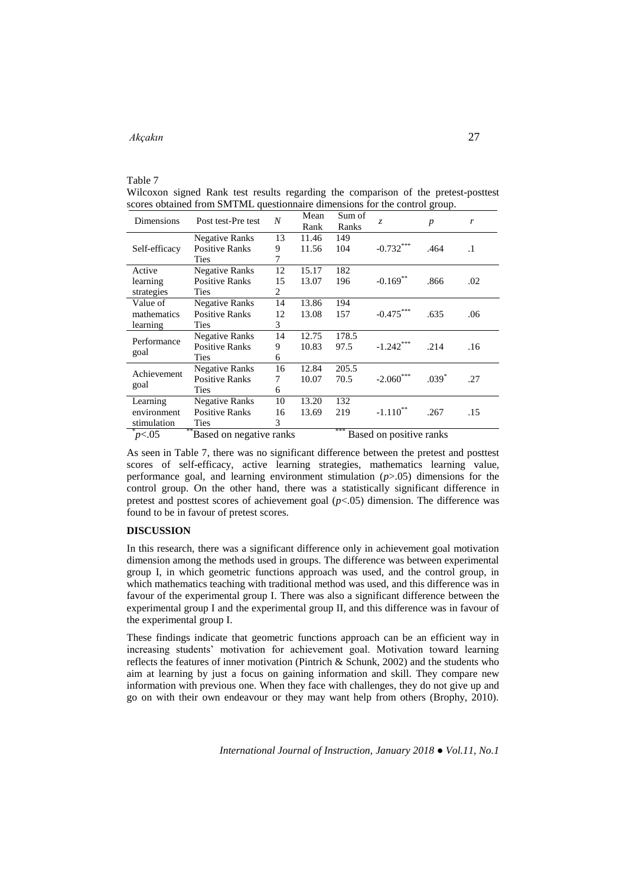## Table 7

Wilcoxon signed Rank test results regarding the comparison of the pretest-posttest scores obtained from SMTML questionnaire dimensions for the control group.

| Dimensions    | Post test-Pre test             | N   | Mean                    | Sum of |                 |                  |           |
|---------------|--------------------------------|-----|-------------------------|--------|-----------------|------------------|-----------|
|               |                                |     | Rank                    | Ranks  | $\mathcal{Z}$   | $\boldsymbol{p}$ | r         |
|               | <b>Negative Ranks</b>          | 13  | 11.46                   | 149    |                 |                  |           |
| Self-efficacy | <b>Positive Ranks</b>          | 9   | 11.56                   | 104    | $-0.732***$     | .464             | $\cdot$ 1 |
|               | Ties                           | 7   |                         |        |                 |                  |           |
| Active        | <b>Negative Ranks</b>          | 12  | 15.17                   | 182    |                 |                  |           |
| learning      | <b>Positive Ranks</b>          | 15  | 13.07                   | 196    | $-0.169$ **     | .866             | .02       |
| strategies    | <b>Ties</b>                    | 2   |                         |        |                 |                  |           |
| Value of      | <b>Negative Ranks</b>          | 14  | 13.86                   | 194    |                 |                  |           |
| mathematics   | <b>Positive Ranks</b>          | 12  | 13.08                   | 157    | $-0.475***$     | .635             | .06       |
| learning      | <b>Ties</b>                    | 3   |                         |        |                 |                  |           |
| Performance   | <b>Negative Ranks</b>          | 14  | 12.75                   | 178.5  |                 |                  |           |
|               | <b>Positive Ranks</b>          | 9   | 10.83                   | 97.5   | $-1.242***$     | .214             | .16       |
| goal          | Ties                           | 6   |                         |        |                 |                  |           |
| Achievement   | <b>Negative Ranks</b>          | 16  | 12.84                   | 205.5  |                 |                  |           |
|               | <b>Positive Ranks</b>          | 7   | 10.07                   | 70.5   | ***<br>$-2.060$ | $.039*$          | .27       |
| goal          | Ties                           | 6   |                         |        |                 |                  |           |
| Learning      | <b>Negative Ranks</b>          | 10  | 13.20                   | 132    |                 |                  |           |
| environment   | <b>Positive Ranks</b>          | 16  | 13.69                   | 219    | $-1.110$        | .267             | .15       |
| stimulation   | <b>Ties</b>                    | 3   |                         |        |                 |                  |           |
| p<.05         | **.<br>Based on negative ranks | *** | Based on positive ranks |        |                 |                  |           |

As seen in Table 7, there was no significant difference between the pretest and posttest scores of self-efficacy, active learning strategies, mathematics learning value, performance goal, and learning environment stimulation (*p*>.05) dimensions for the control group. On the other hand, there was a statistically significant difference in pretest and posttest scores of achievement goal (*p*<.05) dimension. The difference was found to be in favour of pretest scores.

### **DISCUSSION**

In this research, there was a significant difference only in achievement goal motivation dimension among the methods used in groups. The difference was between experimental group I, in which geometric functions approach was used, and the control group, in which mathematics teaching with traditional method was used, and this difference was in favour of the experimental group I. There was also a significant difference between the experimental group I and the experimental group II, and this difference was in favour of the experimental group I.

These findings indicate that geometric functions approach can be an efficient way in increasing students' motivation for achievement goal. Motivation toward learning reflects the features of inner motivation (Pintrich & Schunk, 2002) and the students who aim at learning by just a focus on gaining information and skill. They compare new information with previous one. When they face with challenges, they do not give up and go on with their own endeavour or they may want help from others (Brophy, 2010).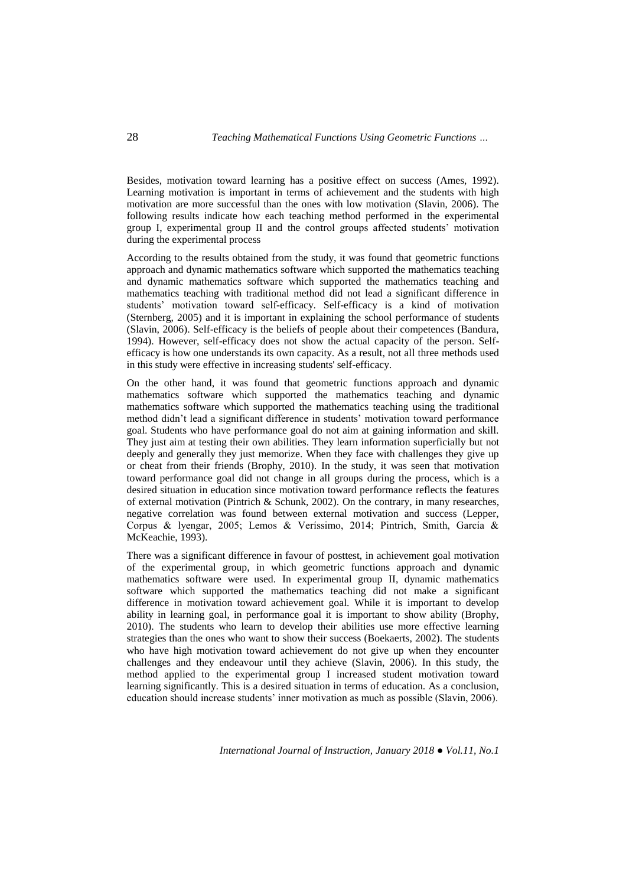Besides, motivation toward learning has a positive effect on success (Ames, 1992). Learning motivation is important in terms of achievement and the students with high motivation are more successful than the ones with low motivation (Slavin, 2006). The following results indicate how each teaching method performed in the experimental group I, experimental group II and the control groups affected students' motivation during the experimental process

According to the results obtained from the study, it was found that geometric functions approach and dynamic mathematics software which supported the mathematics teaching and dynamic mathematics software which supported the mathematics teaching and mathematics teaching with traditional method did not lead a significant difference in students' motivation toward self-efficacy. Self-efficacy is a kind of motivation (Sternberg, 2005) and it is important in explaining the school performance of students (Slavin, 2006). Self-efficacy is the beliefs of people about their competences (Bandura, 1994). However, self-efficacy does not show the actual capacity of the person. Selfefficacy is how one understands its own capacity. As a result, not all three methods used in this study were effective in increasing students' self-efficacy.

On the other hand, it was found that geometric functions approach and dynamic mathematics software which supported the mathematics teaching and dynamic mathematics software which supported the mathematics teaching using the traditional method didn't lead a significant difference in students' motivation toward performance goal. Students who have performance goal do not aim at gaining information and skill. They just aim at testing their own abilities. They learn information superficially but not deeply and generally they just memorize. When they face with challenges they give up or cheat from their friends (Brophy, 2010). In the study, it was seen that motivation toward performance goal did not change in all groups during the process, which is a desired situation in education since motivation toward performance reflects the features of external motivation (Pintrich & Schunk, 2002). On the contrary, in many researches, negative correlation was found between external motivation and success (Lepper, Corpus & lyengar, 2005; Lemos & Veríssimo, 2014; Pintrich, Smith, García & McKeachie, 1993).

There was a significant difference in favour of posttest, in achievement goal motivation of the experimental group, in which geometric functions approach and dynamic mathematics software were used. In experimental group II, dynamic mathematics software which supported the mathematics teaching did not make a significant difference in motivation toward achievement goal. While it is important to develop ability in learning goal, in performance goal it is important to show ability (Brophy, 2010). The students who learn to develop their abilities use more effective learning strategies than the ones who want to show their success (Boekaerts, 2002). The students who have high motivation toward achievement do not give up when they encounter challenges and they endeavour until they achieve (Slavin, 2006). In this study, the method applied to the experimental group I increased student motivation toward learning significantly. This is a desired situation in terms of education. As a conclusion, education should increase students' inner motivation as much as possible (Slavin, 2006).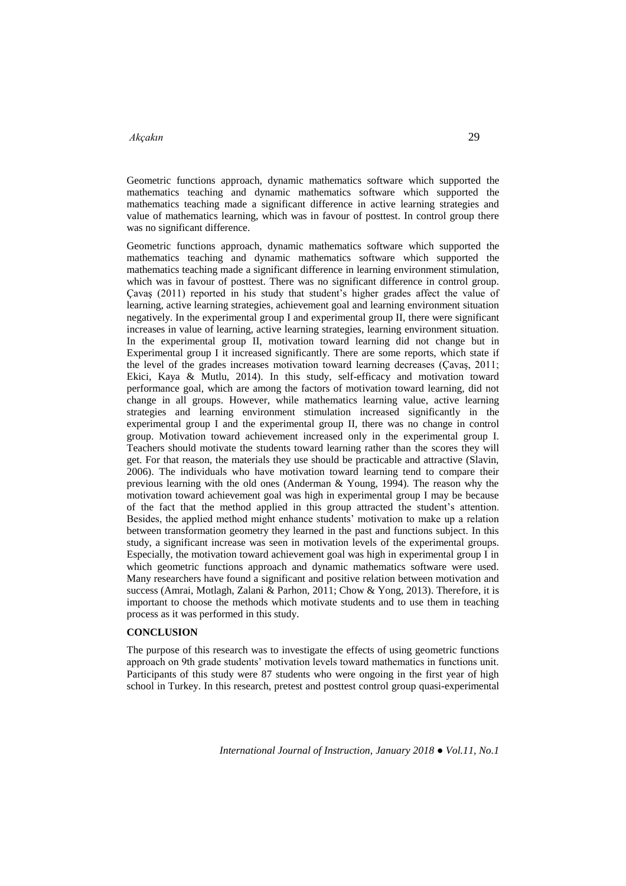Geometric functions approach, dynamic mathematics software which supported the mathematics teaching and dynamic mathematics software which supported the mathematics teaching made a significant difference in active learning strategies and value of mathematics learning, which was in favour of posttest. In control group there was no significant difference.

Geometric functions approach, dynamic mathematics software which supported the mathematics teaching and dynamic mathematics software which supported the mathematics teaching made a significant difference in learning environment stimulation, which was in favour of posttest. There was no significant difference in control group. Çavaş (2011) reported in his study that student's higher grades affect the value of learning, active learning strategies, achievement goal and learning environment situation negatively. In the experimental group I and experimental group II, there were significant increases in value of learning, active learning strategies, learning environment situation. In the experimental group II, motivation toward learning did not change but in Experimental group I it increased significantly. There are some reports, which state if the level of the grades increases motivation toward learning decreases (Çavaş, 2011; Ekici, Kaya & Mutlu, 2014). In this study, self-efficacy and motivation toward performance goal, which are among the factors of motivation toward learning, did not change in all groups. However, while mathematics learning value, active learning strategies and learning environment stimulation increased significantly in the experimental group I and the experimental group II, there was no change in control group. Motivation toward achievement increased only in the experimental group I. Teachers should motivate the students toward learning rather than the scores they will get. For that reason, the materials they use should be practicable and attractive (Slavin, 2006). The individuals who have motivation toward learning tend to compare their previous learning with the old ones (Anderman & Young, 1994). The reason why the motivation toward achievement goal was high in experimental group I may be because of the fact that the method applied in this group attracted the student's attention. Besides, the applied method might enhance students' motivation to make up a relation between transformation geometry they learned in the past and functions subject. In this study, a significant increase was seen in motivation levels of the experimental groups. Especially, the motivation toward achievement goal was high in experimental group I in which geometric functions approach and dynamic mathematics software were used. Many researchers have found a significant and positive relation between motivation and success (Amrai, Motlagh, Zalani & Parhon, 2011; Chow & Yong, 2013). Therefore, it is important to choose the methods which motivate students and to use them in teaching process as it was performed in this study.

### **CONCLUSION**

The purpose of this research was to investigate the effects of using geometric functions approach on 9th grade students' motivation levels toward mathematics in functions unit. Participants of this study were 87 students who were ongoing in the first year of high school in Turkey. In this research, pretest and posttest control group quasi-experimental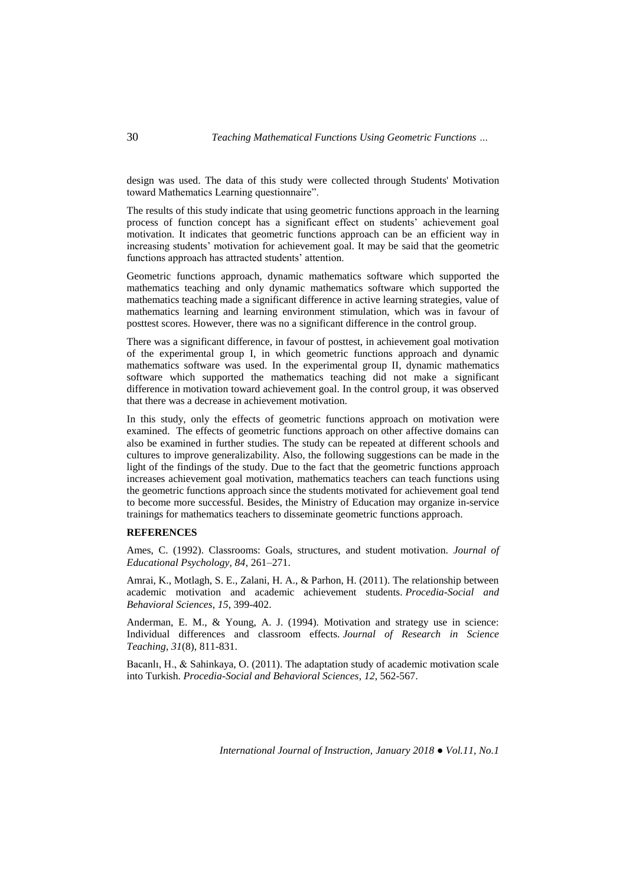design was used. The data of this study were collected through Students' Motivation toward Mathematics Learning questionnaire".

The results of this study indicate that using geometric functions approach in the learning process of function concept has a significant effect on students' achievement goal motivation. It indicates that geometric functions approach can be an efficient way in increasing students' motivation for achievement goal. It may be said that the geometric functions approach has attracted students' attention.

Geometric functions approach, dynamic mathematics software which supported the mathematics teaching and only dynamic mathematics software which supported the mathematics teaching made a significant difference in active learning strategies, value of mathematics learning and learning environment stimulation, which was in favour of posttest scores. However, there was no a significant difference in the control group.

There was a significant difference, in favour of posttest, in achievement goal motivation of the experimental group I, in which geometric functions approach and dynamic mathematics software was used. In the experimental group II, dynamic mathematics software which supported the mathematics teaching did not make a significant difference in motivation toward achievement goal. In the control group, it was observed that there was a decrease in achievement motivation.

In this study, only the effects of geometric functions approach on motivation were examined. The effects of geometric functions approach on other affective domains can also be examined in further studies. The study can be repeated at different schools and cultures to improve generalizability. Also, the following suggestions can be made in the light of the findings of the study. Due to the fact that the geometric functions approach increases achievement goal motivation, mathematics teachers can teach functions using the geometric functions approach since the students motivated for achievement goal tend to become more successful. Besides, the Ministry of Education may organize in-service trainings for mathematics teachers to disseminate geometric functions approach.

#### **REFERENCES**

Ames, C. (1992). Classrooms: Goals, structures, and student motivation. *Journal of Educational Psychology, 84*, 261–271.

Amrai, K., Motlagh, S. E., Zalani, H. A., & Parhon, H. (2011). The relationship between academic motivation and academic achievement students. *Procedia-Social and Behavioral Sciences*, *15*, 399-402.

Anderman, E. M., & Young, A. J. (1994). Motivation and strategy use in science: Individual differences and classroom effects. *Journal of Research in Science Teaching*, *31*(8), 811-831.

Bacanlı, H., & Sahinkaya, O. (2011). The adaptation study of academic motivation scale into Turkish. *Procedia-Social and Behavioral Sciences*, *12*, 562-567.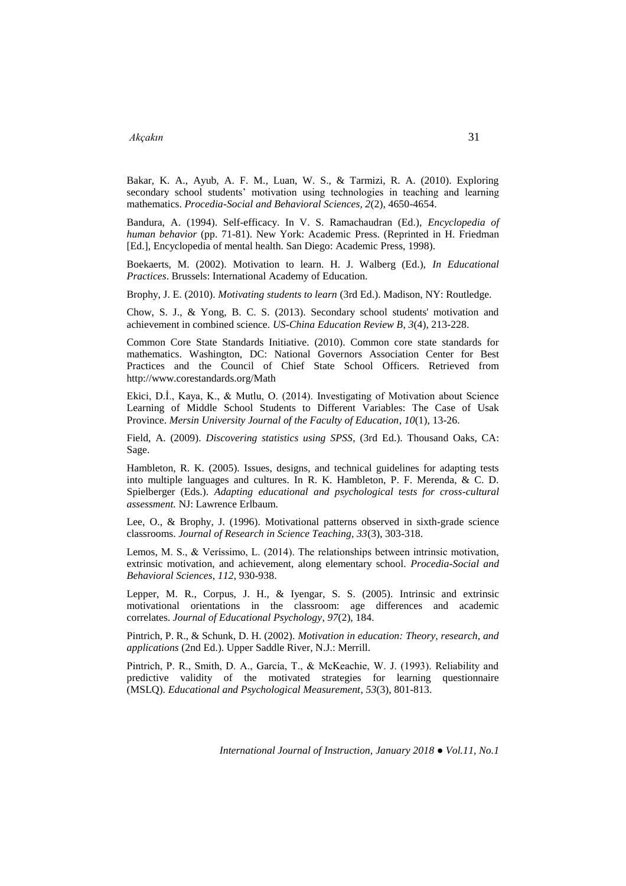Bakar, K. A., Ayub, A. F. M., Luan, W. S., & Tarmizi, R. A. (2010). Exploring secondary school students' motivation using technologies in teaching and learning mathematics. *Procedia-Social and Behavioral Sciences, 2*(2), 4650-4654.

Bandura, A. (1994). Self-efficacy. In V. S. Ramachaudran (Ed.), *Encyclopedia of human behavior* (pp. 71-81). New York: Academic Press. (Reprinted in H. Friedman [Ed.], Encyclopedia of mental health. San Diego: Academic Press, 1998).

Boekaerts, M. (2002). Motivation to learn. H. J. Walberg (Ed.), *In Educational Practices*. Brussels: International Academy of Education.

Brophy, J. E. (2010). *Motivating students to learn* (3rd Ed.). Madison, NY: Routledge.

Chow, S. J., & Yong, B. C. S. (2013). Secondary school students' motivation and achievement in combined science. *US-China Education Review B*, *3*(4), 213-228.

Common Core State Standards Initiative. (2010). Common core state standards for mathematics. Washington, DC: National Governors Association Center for Best Practices and the Council of Chief State School Officers. Retrieved from http://www.corestandards.org/Math

Ekici, D.İ., Kaya, K., & Mutlu, O. (2014). Investigating of Motivation about Science Learning of Middle School Students to Different Variables: The Case of Usak Province. *Mersin University Journal of the Faculty of Education*, *10*(1), 13-26.

Field, A. (2009). *Discovering statistics using SPSS*, (3rd Ed.). Thousand Oaks, CA: Sage.

Hambleton, R. K. (2005). Issues, designs, and technical guidelines for adapting tests into multiple languages and cultures. In R. K. Hambleton, P. F. Merenda, & C. D. Spielberger (Eds.). *Adapting educational and psychological tests for cross-cultural assessment.* NJ: Lawrence Erlbaum.

Lee, O., & Brophy, J. (1996). Motivational patterns observed in sixth-grade science classrooms. *Journal of Research in Science Teaching, 33*(3), 303-318.

Lemos, M. S., & Veríssimo, L. (2014). The relationships between intrinsic motivation, extrinsic motivation, and achievement, along elementary school. *Procedia-Social and Behavioral Sciences*, *112*, 930-938.

Lepper, M. R., Corpus, J. H., & Iyengar, S. S. (2005). Intrinsic and extrinsic motivational orientations in the classroom: age differences and academic correlates. *Journal of Educational Psychology*, *97*(2), 184.

Pintrich, P. R., & Schunk, D. H. (2002). *Motivation in education: Theory, research, and applications* (2nd Ed.). Upper Saddle River, N.J.: Merrill.

Pintrich, P. R., Smith, D. A., García, T., & McKeachie, W. J. (1993). Reliability and predictive validity of the motivated strategies for learning questionnaire (MSLQ). *Educational and Psychological Measurement*, *53*(3), 801-813.